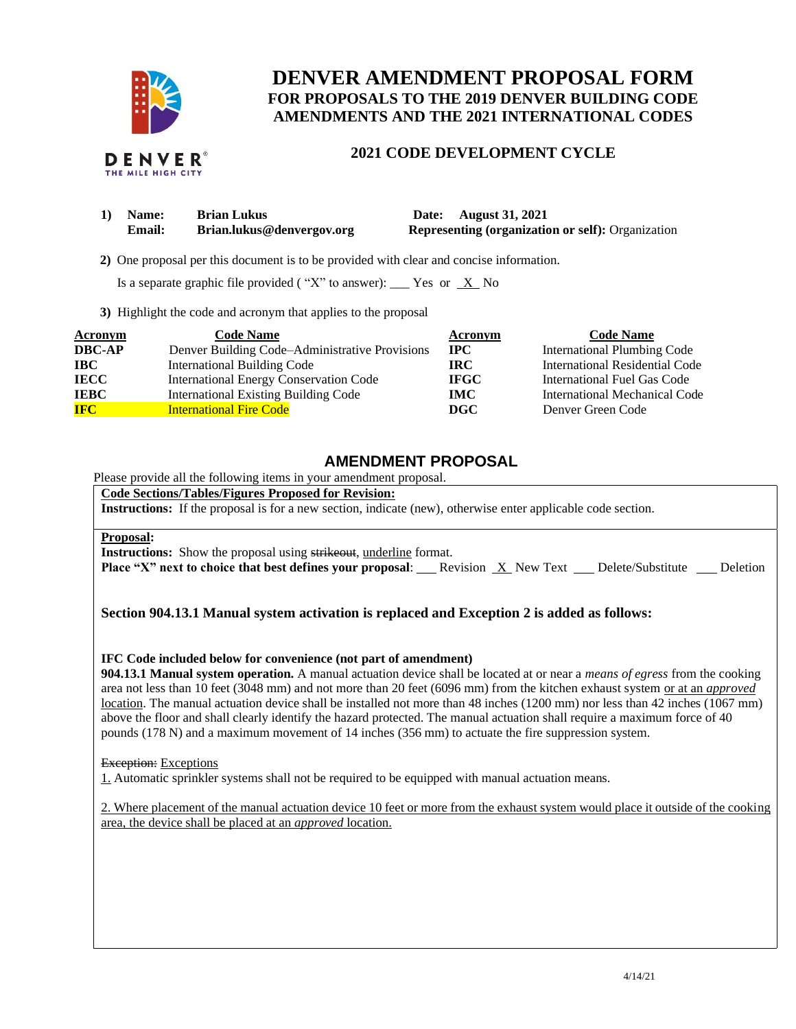

# **DENVER AMENDMENT PROPOSAL FORM FOR PROPOSALS TO THE 2019 DENVER BUILDING CODE AMENDMENTS AND THE 2021 INTERNATIONAL CODES**

# **2021 CODE DEVELOPMENT CYCLE**

| 1) Name:      | <b>Brian Lukus</b>        | Date: August 31, 2021                                    |
|---------------|---------------------------|----------------------------------------------------------|
| <b>Email:</b> | Brian.lukus@denvergov.org | <b>Representing (organization or self): Organization</b> |

 **2)** One proposal per this document is to be provided with clear and concise information.

Is a separate graphic file provided ("X" to answer): \_\_\_ Yes or  $X$  No

**3)** Highlight the code and acronym that applies to the proposal

| Acronym       | <b>Code Name</b>                               | Acronym      | <b>Code Name</b>                   |
|---------------|------------------------------------------------|--------------|------------------------------------|
| <b>DBC-AP</b> | Denver Building Code–Administrative Provisions | $_{\rm IPC}$ | <b>International Plumbing Code</b> |
| <b>IBC</b>    | <b>International Building Code</b>             | IRC.         | International Residential Code     |
| <b>IECC</b>   | <b>International Energy Conservation Code</b>  | <b>IFGC</b>  | International Fuel Gas Code        |
| <b>IEBC</b>   | <b>International Existing Building Code</b>    | <b>IMC</b>   | International Mechanical Code      |
| <b>IFC</b>    | <b>International Fire Code</b>                 | DGC          | Denver Green Code                  |

# **AMENDMENT PROPOSAL**

Please provide all the following items in your amendment proposal.

**Code Sections/Tables/Figures Proposed for Revision:**

**Instructions:** If the proposal is for a new section, indicate (new), otherwise enter applicable code section.

#### **Proposal:**

**Instructions:** Show the proposal using strikeout, underline format.

**Place "X" next to choice that best defines your proposal:** Revision X New Text Delete/Substitute Deletion

# **Section 904.13.1 Manual system activation is replaced and Exception 2 is added as follows:**

## **IFC Code included below for convenience (not part of amendment)**

**904.13.1 Manual system operation.** A manual actuation device shall be located at or near a *means of egress* from the cooking area not less than 10 feet (3048 mm) and not more than 20 feet (6096 mm) from the kitchen exhaust system or at an *approved* location. The manual actuation device shall be installed not more than 48 inches (1200 mm) nor less than 42 inches (1067 mm) above the floor and shall clearly identify the hazard protected. The manual actuation shall require a maximum force of 40 pounds (178 N) and a maximum movement of 14 inches (356 mm) to actuate the fire suppression system.

#### **Exception:** Exceptions

1. Automatic sprinkler systems shall not be required to be equipped with manual actuation means.

2. Where placement of the manual actuation device 10 feet or more from the exhaust system would place it outside of the cooking area, the device shall be placed at an *approved* location.